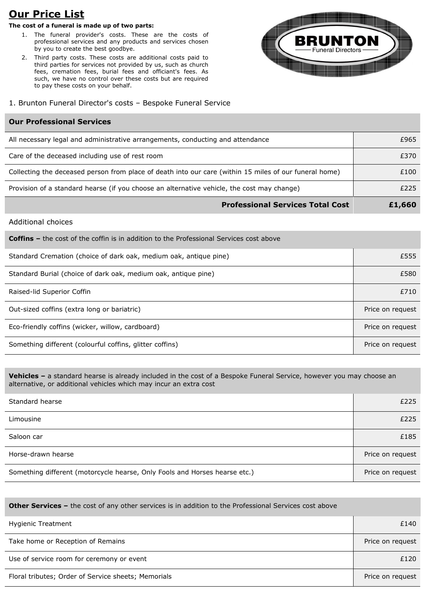# **Our Price List**

# **The cost of a funeral is made up of two parts:**

- 1. The funeral provider's costs. These are the costs of professional services and any products and services chosen by you to create the best goodbye.
- 2. Third party costs. These costs are additional costs paid to third parties for services not provided by us, such as church fees, cremation fees, burial fees and officiant's fees. As such, we have no control over these costs but are required to pay these costs on your behalf.



## 1. Brunton Funeral Director's costs – Bespoke Funeral Service

## **Our Professional Services**

| <b>Professional Services Total Cost</b>                                                                | £1,660 |
|--------------------------------------------------------------------------------------------------------|--------|
| Provision of a standard hearse (if you choose an alternative vehicle, the cost may change)             | £225   |
| Collecting the deceased person from place of death into our care (within 15 miles of our funeral home) | £100   |
| Care of the deceased including use of rest room                                                        | £370   |
| All necessary legal and administrative arrangements, conducting and attendance                         | £965   |

### Additional choices

| <b>Coffins –</b> the cost of the coffin is in addition to the Professional Services cost above |                  |
|------------------------------------------------------------------------------------------------|------------------|
| Standard Cremation (choice of dark oak, medium oak, antique pine)                              | £555             |
| Standard Burial (choice of dark oak, medium oak, antique pine)                                 | £580             |
| Raised-lid Superior Coffin                                                                     | £710             |
| Out-sized coffins (extra long or bariatric)                                                    | Price on request |
| Eco-friendly coffins (wicker, willow, cardboard)                                               | Price on request |
| Something different (colourful coffins, glitter coffins)                                       | Price on request |

**Vehicles –** a standard hearse is already included in the cost of a Bespoke Funeral Service, however you may choose an alternative, or additional vehicles which may incur an extra cost

| Standard hearse                                                            | £225             |
|----------------------------------------------------------------------------|------------------|
| Limousine                                                                  | £225             |
| Saloon car                                                                 | £185             |
| Horse-drawn hearse                                                         | Price on request |
| Something different (motorcycle hearse, Only Fools and Horses hearse etc.) | Price on request |

| <b>Other Services -</b> the cost of any other services is in addition to the Professional Services cost above |                  |
|---------------------------------------------------------------------------------------------------------------|------------------|
| <b>Hygienic Treatment</b>                                                                                     | £140             |
| Take home or Reception of Remains                                                                             | Price on request |
| Use of service room for ceremony or event                                                                     | £120             |
| Floral tributes; Order of Service sheets; Memorials                                                           | Price on request |